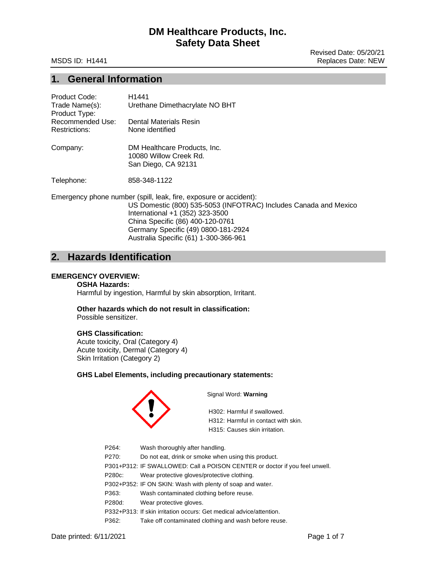Revised Date: 05/20/21 MSDS ID: H1441 Replaces Date: NEW

# **1. General Information**

| Product Code:<br>Trade Name(s):<br>Product Type: | H <sub>1441</sub><br>Urethane Dimethacrylate NO BHT                           |
|--------------------------------------------------|-------------------------------------------------------------------------------|
| Recommended Use:                                 | Dental Materials Resin                                                        |
| Restrictions:                                    | None identified                                                               |
| Company:                                         | DM Healthcare Products, Inc.<br>10080 Willow Creek Rd.<br>San Diego, CA 92131 |
| Telephone:                                       | 858-348-1122                                                                  |
|                                                  | Emergency phone number (spill, leak, fire, exposure or accident):             |
|                                                  | US Domestic (800) 535-5053 (INFOTRAC) Includes Canada and Mexico              |
|                                                  | International +1 (352) 323-3500                                               |
|                                                  | China Specific (86) 400-120-0761                                              |
|                                                  | Germany Specific (49) 0800-181-2924                                           |
|                                                  | Australia Specific (61) 1-300-366-961                                         |

# **2. Hazards Identification**

## **EMERGENCY OVERVIEW:**

#### **OSHA Hazards:**

Harmful by ingestion, Harmful by skin absorption, Irritant.

**Other hazards which do not result in classification:** Possible sensitizer.

# **GHS Classification:**

Acute toxicity, Oral (Category 4) Acute toxicity, Dermal (Category 4) Skin Irritation (Category 2)

## **GHS Label Elements, including precautionary statements:**



Signal Word: **Warning**

H302: Harmful if swallowed. H312: Harmful in contact with skin. H315: Causes skin irritation.

P264: Wash thoroughly after handling. P270: Do not eat, drink or smoke when using this product. P301+P312: IF SWALLOWED: Call a POISON CENTER or doctor if you feel unwell. P280c: Wear protective gloves/protective clothing. P302+P352: IF ON SKIN: Wash with plenty of soap and water. P363: Wash contaminated clothing before reuse. P280d: Wear protective gloves. P332+P313: If skin irritation occurs: Get medical advice/attention. P362: Take off contaminated clothing and wash before reuse.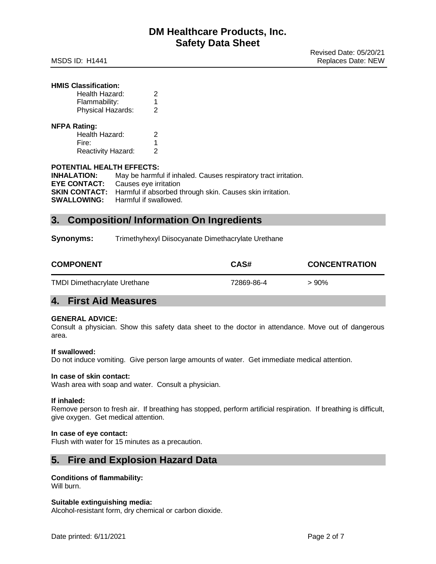| <b>Revised Date: 05/20/21</b> |
|-------------------------------|
| Replaces Date: NEW            |

## **HMIS Classification:**

**NFPA Rating:**

| Health Hazard:     | 2 |  |
|--------------------|---|--|
| Flammability:      | 1 |  |
| Physical Hazards:  | 2 |  |
| <b>Rating:</b>     |   |  |
| Health Hazard:     | 2 |  |
| Fire:              | 1 |  |
| Reactivity Hazard: | 2 |  |

### **POTENTIAL HEALTH EFFECTS:**

| <b>INHALATION:</b>  | May be harmful if inhaled. Causes respiratory tract irritation.                |
|---------------------|--------------------------------------------------------------------------------|
| <b>EYE CONTACT:</b> | Causes eye irritation                                                          |
|                     | <b>SKIN CONTACT:</b> Harmful if absorbed through skin. Causes skin irritation. |
|                     | <b>SWALLOWING:</b> Harmful if swallowed.                                       |

# **3. Composition/ Information On Ingredients**

**Synonyms:** Trimethyhexyl Diisocyanate Dimethacrylate Urethane

| <b>COMPONENT</b>                    | CAS#       | <b>CONCENTRATION</b> |
|-------------------------------------|------------|----------------------|
| <b>TMDI Dimethacrylate Urethane</b> | 72869-86-4 | $>90\%$              |

# **4. First Aid Measures**

## **GENERAL ADVICE:**

Consult a physician. Show this safety data sheet to the doctor in attendance. Move out of dangerous area.

## **If swallowed:**

Do not induce vomiting. Give person large amounts of water. Get immediate medical attention.

# **In case of skin contact:**

Wash area with soap and water. Consult a physician.

## **If inhaled:**

Remove person to fresh air. If breathing has stopped, perform artificial respiration. If breathing is difficult, give oxygen. Get medical attention.

#### **In case of eye contact:**

Flush with water for 15 minutes as a precaution.

# **5. Fire and Explosion Hazard Data**

## **Conditions of flammability:**

Will burn.

## **Suitable extinguishing media:**

Alcohol-resistant form, dry chemical or carbon dioxide.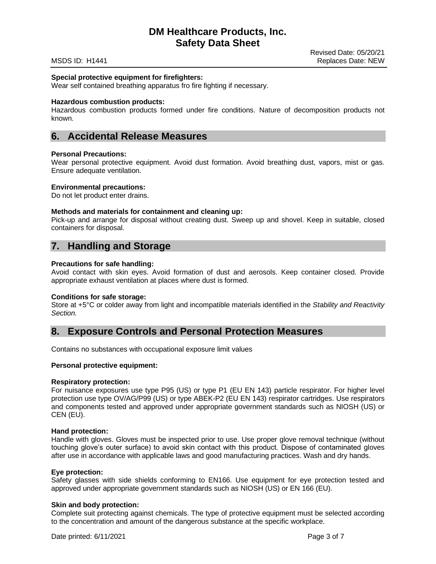## **Special protective equipment for firefighters:**

Wear self contained breathing apparatus fro fire fighting if necessary.

#### **Hazardous combustion products:**

Hazardous combustion products formed under fire conditions. Nature of decomposition products not known.

# **6. Accidental Release Measures**

#### **Personal Precautions:**

Wear personal protective equipment. Avoid dust formation. Avoid breathing dust, vapors, mist or gas. Ensure adequate ventilation.

## **Environmental precautions:**

Do not let product enter drains.

#### **Methods and materials for containment and cleaning up:**

Pick-up and arrange for disposal without creating dust. Sweep up and shovel. Keep in suitable, closed containers for disposal.

# **7. Handling and Storage**

#### **Precautions for safe handling:**

Avoid contact with skin eyes. Avoid formation of dust and aerosols. Keep container closed. Provide appropriate exhaust ventilation at places where dust is formed.

#### **Conditions for safe storage:**

Store at +5°C or colder away from light and incompatible materials identified in the *Stability and Reactivity Section.*

# **8. Exposure Controls and Personal Protection Measures**

Contains no substances with occupational exposure limit values

#### **Personal protective equipment:**

#### **Respiratory protection:**

For nuisance exposures use type P95 (US) or type P1 (EU EN 143) particle respirator. For higher level protection use type OV/AG/P99 (US) or type ABEK-P2 (EU EN 143) respirator cartridges. Use respirators and components tested and approved under appropriate government standards such as NIOSH (US) or CEN (EU).

#### **Hand protection:**

Handle with gloves. Gloves must be inspected prior to use. Use proper glove removal technique (without touching glove's outer surface) to avoid skin contact with this product. Dispose of contaminated gloves after use in accordance with applicable laws and good manufacturing practices. Wash and dry hands.

#### **Eye protection:**

Safety glasses with side shields conforming to EN166. Use equipment for eye protection tested and approved under appropriate government standards such as NIOSH (US) or EN 166 (EU).

### **Skin and body protection:**

Complete suit protecting against chemicals. The type of protective equipment must be selected according to the concentration and amount of the dangerous substance at the specific workplace.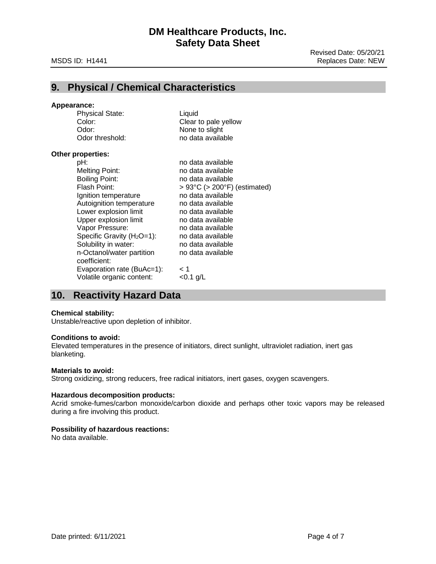# **9. Physical / Chemical Characteristics**

### **Appearance:**

Physical State:<br>
Color: Clear t Odor threshold: no data available

Color: Clear to pale yellow<br>
Odor: None to slight None to slight

#### **Other properties:**

| pH:                          | no data available                                 |
|------------------------------|---------------------------------------------------|
| <b>Melting Point:</b>        | no data available                                 |
| <b>Boiling Point:</b>        | no data available                                 |
| Flash Point:                 | $> 93^{\circ}$ C ( $> 200^{\circ}$ F) (estimated) |
| Ignition temperature         | no data available                                 |
| Autoignition temperature     | no data available                                 |
| Lower explosion limit        | no data available                                 |
| Upper explosion limit        | no data available                                 |
| Vapor Pressure:              | no data available                                 |
| Specific Gravity $(H2O=1)$ : | no data available                                 |
| Solubility in water:         | no data available                                 |
| n-Octanol/water partition    | no data available                                 |
| coefficient:                 |                                                   |
| Evaporation rate (BuAc=1):   | 1 >                                               |
| Volatile organic content:    | $<$ 0.1 g/L                                       |
|                              |                                                   |

# **10. Reactivity Hazard Data**

## **Chemical stability:**

Unstable/reactive upon depletion of inhibitor.

## **Conditions to avoid:**

Elevated temperatures in the presence of initiators, direct sunlight, ultraviolet radiation, inert gas blanketing.

#### **Materials to avoid:**

Strong oxidizing, strong reducers, free radical initiators, inert gases, oxygen scavengers.

# **Hazardous decomposition products:**

Acrid smoke-fumes/carbon monoxide/carbon dioxide and perhaps other toxic vapors may be released during a fire involving this product.

## **Possibility of hazardous reactions:**

No data available.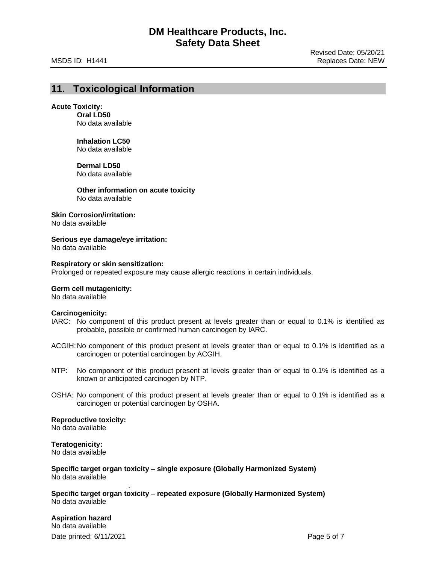# **11. Toxicological Information**

## **Acute Toxicity:**

**Oral LD50** No data available

### **Inhalation LC50** No data available

**Dermal LD50** No data available

**Other information on acute toxicity** No data available

#### **Skin Corrosion/irritation:**

No data available

# **Serious eye damage/eye irritation:**

No data available

### **Respiratory or skin sensitization:**

Prolonged or repeated exposure may cause allergic reactions in certain individuals.

#### **Germ cell mutagenicity:**

No data available

#### **Carcinogenicity:**

- IARC: No component of this product present at levels greater than or equal to 0.1% is identified as probable, possible or confirmed human carcinogen by IARC.
- ACGIH:No component of this product present at levels greater than or equal to 0.1% is identified as a carcinogen or potential carcinogen by ACGIH.
- NTP: No component of this product present at levels greater than or equal to 0.1% is identified as a known or anticipated carcinogen by NTP.
- OSHA: No component of this product present at levels greater than or equal to 0.1% is identified as a carcinogen or potential carcinogen by OSHA.

# **Reproductive toxicity:**

No data available

# **Teratogenicity:**

No data available

**Specific target organ toxicity – single exposure (Globally Harmonized System)** No data available

**Specific target organ toxicity – repeated exposure (Globally Harmonized System)** No data available

Date printed: 6/11/2021 Page 5 of 7 **Aspiration hazard** No data available

.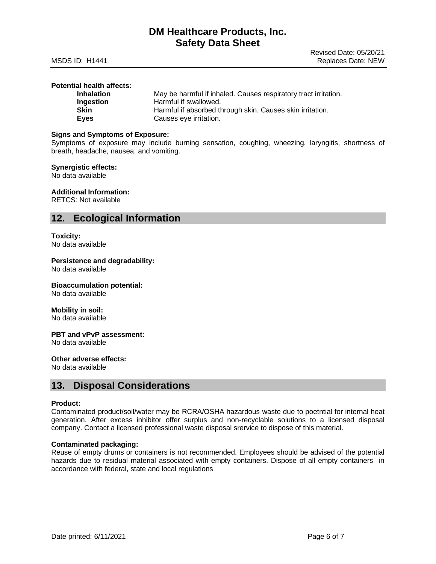| Potential health affects: |                                                                 |
|---------------------------|-----------------------------------------------------------------|
| <b>Inhalation</b>         | May be harmful if inhaled. Causes respiratory tract irritation. |
| Ingestion                 | Harmful if swallowed.                                           |
| Skin                      | Harmful if absorbed through skin. Causes skin irritation.       |
| <b>Eves</b>               | Causes eye irritation.                                          |

### **Signs and Symptoms of Exposure:**

Symptoms of exposure may include burning sensation, coughing, wheezing, laryngitis, shortness of breath, headache, nausea, and vomiting.

#### **Synergistic effects:**

No data available

# **Additional Information:**

RETCS: Not available

# **12. Ecological Information**

### **Toxicity:**

No data available

## **Persistence and degradability:**

No data available

# **Bioaccumulation potential:**

No data available

## **Mobility in soil:**

No data available

# **PBT and vPvP assessment:**

No data available

## **Other adverse effects:**

No data available

# **13. Disposal Considerations**

#### **Product:**

Contaminated product/soil/water may be RCRA/OSHA hazardous waste due to poetntial for internal heat generation. After excess inhibitor offer surplus and non-recyclable solutions to a licensed disposal company. Contact a licensed professional waste disposal srervice to dispose of this material.

## **Contaminated packaging:**

Reuse of empty drums or containers is not recommended. Employees should be advised of the potential hazards due to residual material associated with empty containers. Dispose of all empty containers in accordance with federal, state and local regulations